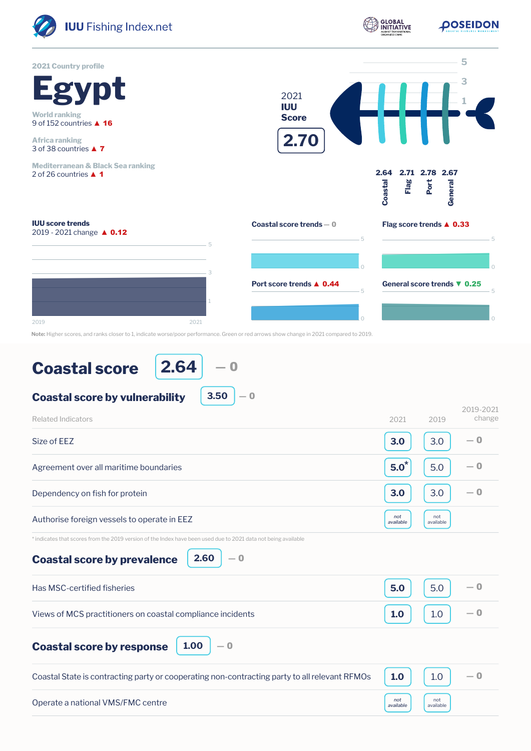

## **Coastal score**

**2.64** ― 0

**3.50**

― 0

## **Coastal score by vulnerability**

| <b>Related Indicators</b>                                                                                                                                            | 2021             | 2019             | 2019-2021<br>change |
|----------------------------------------------------------------------------------------------------------------------------------------------------------------------|------------------|------------------|---------------------|
| Size of FFZ                                                                                                                                                          | 3.0              | 3.0              | $-0$                |
| Agreement over all maritime boundaries                                                                                                                               | $5.0^*$          | 5.0              | — 0                 |
| Dependency on fish for protein                                                                                                                                       | 3.0              | 3.0              | — 0                 |
| Authorise foreign vessels to operate in EEZ                                                                                                                          | not<br>available | not<br>available |                     |
| * indicates that scores from the 2019 version of the Index have been used due to 2021 data not being available<br>2.60<br>$-0$<br><b>Coastal score by prevalence</b> |                  |                  |                     |
| Has MSC-certified fisheries                                                                                                                                          | 5.0              | 5.0              | — 0                 |
| Views of MCS practitioners on coastal compliance incidents                                                                                                           | 1.0              | 1.0              | $-0$                |
| 1.00<br>— 0<br><b>Coastal score by response</b>                                                                                                                      |                  |                  |                     |
| Coastal State is contracting party or cooperating non-contracting party to all relevant RFMOs                                                                        | 1.0              | 1.0              | $-0$                |
| Operate a national VMS/FMC centre                                                                                                                                    | not<br>available | not<br>available |                     |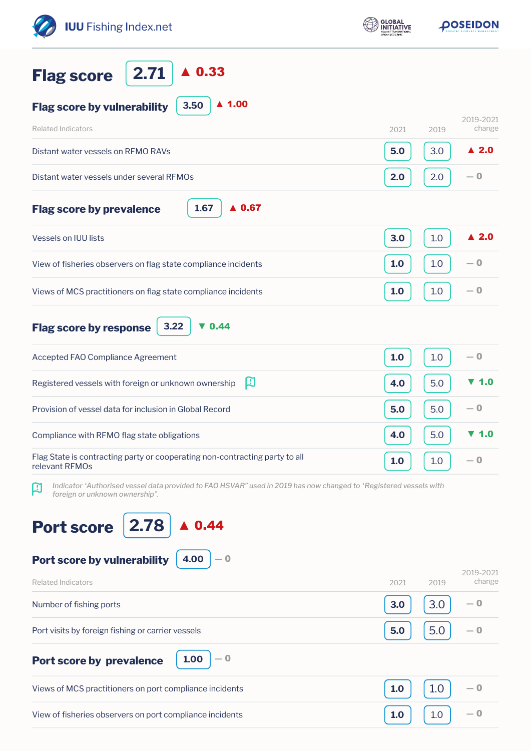| <b>IUU</b> Fishing Index.net                                                                                                                             | <b>GLOBAL</b><br><b>NITIATIVE</b> | <b><i>DOSEIDON</i></b>      |  |
|----------------------------------------------------------------------------------------------------------------------------------------------------------|-----------------------------------|-----------------------------|--|
| $\blacktriangle$ 0.33<br>2.71<br><b>Flag score</b>                                                                                                       |                                   |                             |  |
| $\blacktriangle$ 1.00<br>3.50<br><b>Flag score by vulnerability</b>                                                                                      |                                   |                             |  |
| <b>Related Indicators</b>                                                                                                                                | 2021                              | 2019-2021<br>change<br>2019 |  |
| Distant water vessels on RFMO RAVs                                                                                                                       | 5.0                               | $\blacktriangle$ 2.0<br>3.0 |  |
| Distant water vessels under several RFMOs                                                                                                                | 2.0                               | $-0$<br>2.0                 |  |
| 1.67<br>$\triangle$ 0.67<br><b>Flag score by prevalence</b>                                                                                              |                                   |                             |  |
| <b>Vessels on IUU lists</b>                                                                                                                              | 3.0                               | $\blacktriangle$ 2.0<br>1.0 |  |
| View of fisheries observers on flag state compliance incidents                                                                                           | 1.0                               | $-0$<br>1.0                 |  |
| Views of MCS practitioners on flag state compliance incidents                                                                                            | 1.0                               | $-0$<br>1.0                 |  |
| $\nabla$ 0.44<br>3.22<br><b>Flag score by response</b>                                                                                                   |                                   |                             |  |
| Accepted FAO Compliance Agreement                                                                                                                        | 1.0                               | $-0$<br>1.0                 |  |
| 口<br>Registered vessels with foreign or unknown ownership                                                                                                | 4.0                               | 1.0<br>5.0                  |  |
| Provision of vessel data for inclusion in Global Record                                                                                                  | 5.0                               | — 0<br>5.0                  |  |
| Compliance with RFMO flag state obligations                                                                                                              | 4.0                               | 1.0<br>5.0                  |  |
| Flag State is contracting party or cooperating non-contracting party to all<br>relevant RFMOs                                                            | 1.0                               | — 0<br>1.0                  |  |
| Indicator 'Authorised vessel data provided to FAO HSVAR" used in 2019 has now changed to 'Registered vessels with<br>口<br>foreign or unknown ownership". |                                   |                             |  |
| 2.78<br>0.44<br><b>Port score</b>                                                                                                                        |                                   |                             |  |
| 4.00<br>Port score by vulnerability<br>— 0                                                                                                               |                                   |                             |  |
| <b>Related Indicators</b>                                                                                                                                | 2021                              | 2019-2021<br>change<br>2019 |  |
| Number of fishing ports                                                                                                                                  | 3.0                               | 3.0<br>— 0                  |  |
| Port visits by foreign fishing or carrier vessels                                                                                                        | 5.0                               | 5.0<br>— 0                  |  |
| $-0$<br>1.00<br>Port score by prevalence                                                                                                                 |                                   |                             |  |
| Views of MCS practitioners on port compliance incidents                                                                                                  | 1.0                               | 1.0<br>— 0                  |  |
| View of fisheries observers on port compliance incidents                                                                                                 | 1.0                               | 1.0<br>— 0                  |  |